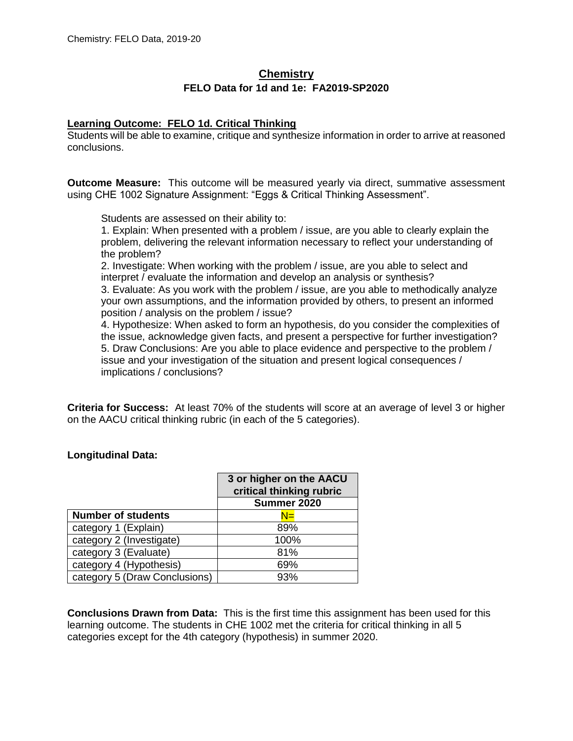# **Chemistry FELO Data for 1d and 1e: FA2019-SP2020**

### **Learning Outcome: FELO 1d. Critical Thinking**

Students will be able to examine, critique and synthesize information in order to arrive at reasoned conclusions.

**Outcome Measure:** This outcome will be measured yearly via direct, summative assessment using CHE 1002 Signature Assignment: "Eggs & Critical Thinking Assessment".

Students are assessed on their ability to:

1. Explain: When presented with a problem / issue, are you able to clearly explain the problem, delivering the relevant information necessary to reflect your understanding of the problem?

2. Investigate: When working with the problem / issue, are you able to select and interpret / evaluate the information and develop an analysis or synthesis?

3. Evaluate: As you work with the problem / issue, are you able to methodically analyze your own assumptions, and the information provided by others, to present an informed position / analysis on the problem / issue?

4. Hypothesize: When asked to form an hypothesis, do you consider the complexities of the issue, acknowledge given facts, and present a perspective for further investigation? 5. Draw Conclusions: Are you able to place evidence and perspective to the problem / issue and your investigation of the situation and present logical consequences / implications / conclusions?

**Criteria for Success:** At least 70% of the students will score at an average of level 3 or higher on the AACU critical thinking rubric (in each of the 5 categories).

#### **Longitudinal Data:**

|                               | 3 or higher on the AACU<br>critical thinking rubric |
|-------------------------------|-----------------------------------------------------|
|                               | Summer 2020                                         |
| <b>Number of students</b>     | N≡                                                  |
| category 1 (Explain)          | 89%                                                 |
| category 2 (Investigate)      | 100%                                                |
| category 3 (Evaluate)         | 81%                                                 |
| category 4 (Hypothesis)       | 69%                                                 |
| category 5 (Draw Conclusions) | 93%                                                 |

**Conclusions Drawn from Data:** This is the first time this assignment has been used for this learning outcome. The students in CHE 1002 met the criteria for critical thinking in all 5 categories except for the 4th category (hypothesis) in summer 2020.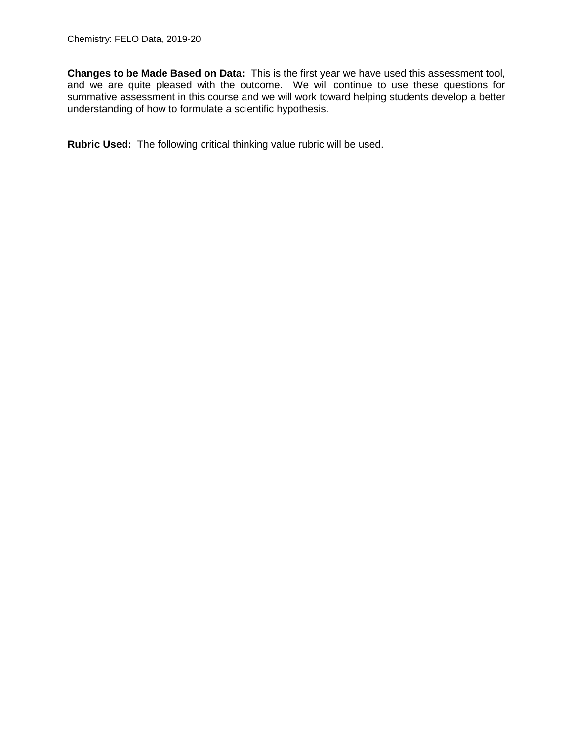**Changes to be Made Based on Data:** This is the first year we have used this assessment tool, and we are quite pleased with the outcome. We will continue to use these questions for summative assessment in this course and we will work toward helping students develop a better understanding of how to formulate a scientific hypothesis.

**Rubric Used:** The following critical thinking value rubric will be used.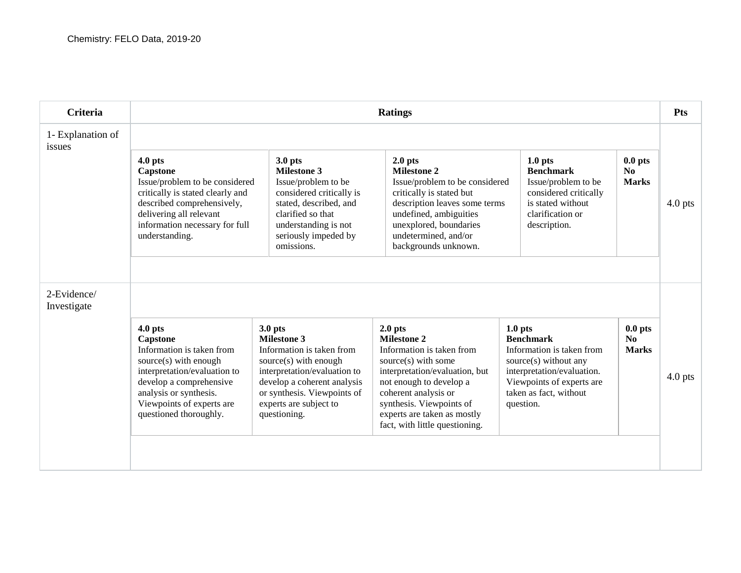| <b>Criteria</b>             | <b>Ratings</b>                                                                                                                                                                                                          |                                                                                                                                                                                                                                        |                                                                                                                                                                                                                                                                       |                                                                                                                                                                                                |                                             |           |
|-----------------------------|-------------------------------------------------------------------------------------------------------------------------------------------------------------------------------------------------------------------------|----------------------------------------------------------------------------------------------------------------------------------------------------------------------------------------------------------------------------------------|-----------------------------------------------------------------------------------------------------------------------------------------------------------------------------------------------------------------------------------------------------------------------|------------------------------------------------------------------------------------------------------------------------------------------------------------------------------------------------|---------------------------------------------|-----------|
| 1- Explanation of<br>issues |                                                                                                                                                                                                                         |                                                                                                                                                                                                                                        |                                                                                                                                                                                                                                                                       |                                                                                                                                                                                                |                                             |           |
|                             | $4.0$ pts<br><b>Capstone</b><br>Issue/problem to be considered<br>critically is stated clearly and<br>described comprehensively,<br>delivering all relevant<br>information necessary for full<br>understanding.         | $3.0$ pts<br><b>Milestone 3</b><br>Issue/problem to be<br>considered critically is<br>stated, described, and<br>clarified so that<br>understanding is not<br>seriously impeded by<br>omissions.                                        | $2.0$ pts<br><b>Milestone 2</b><br>Issue/problem to be considered<br>critically is stated but<br>description leaves some terms<br>undefined, ambiguities<br>unexplored, boundaries<br>undetermined, and/or<br>backgrounds unknown.                                    | 1.0 <sub>pts</sub><br><b>Benchmark</b><br>Issue/problem to be<br>considered critically<br>is stated without<br>clarification or<br>description.                                                | $0.0$ pts<br>N <sub>0</sub><br><b>Marks</b> | $4.0$ pts |
| 2-Evidence/<br>Investigate  |                                                                                                                                                                                                                         |                                                                                                                                                                                                                                        |                                                                                                                                                                                                                                                                       |                                                                                                                                                                                                |                                             |           |
|                             | $4.0$ pts<br>Capstone<br>Information is taken from<br>source(s) with enough<br>interpretation/evaluation to<br>develop a comprehensive<br>analysis or synthesis.<br>Viewpoints of experts are<br>questioned thoroughly. | 3.0 <sub>pts</sub><br><b>Milestone 3</b><br>Information is taken from<br>source(s) with enough<br>interpretation/evaluation to<br>develop a coherent analysis<br>or synthesis. Viewpoints of<br>experts are subject to<br>questioning. | $2.0$ pts<br><b>Milestone 2</b><br>Information is taken from<br>source(s) with some<br>interpretation/evaluation, but<br>not enough to develop a<br>coherent analysis or<br>synthesis. Viewpoints of<br>experts are taken as mostly<br>fact, with little questioning. | 1.0 <sub>pts</sub><br><b>Benchmark</b><br>Information is taken from<br>source(s) without any<br>interpretation/evaluation.<br>Viewpoints of experts are<br>taken as fact, without<br>question. | $0.0$ pts<br>No<br><b>Marks</b>             | $4.0$ pts |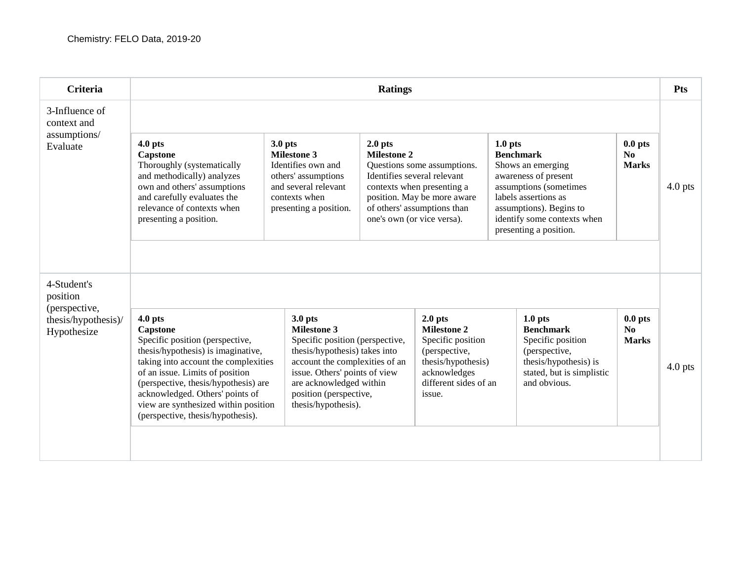| <b>Criteria</b>                                                                | <b>Ratings</b>                                                                                                                                                                                                                                                                                                                    |                                                                                                                                                                                                                                                    |                                 |                                                                                                                                                                                      |                               |                                                                                                                                                                                 |                                             | Pts       |  |
|--------------------------------------------------------------------------------|-----------------------------------------------------------------------------------------------------------------------------------------------------------------------------------------------------------------------------------------------------------------------------------------------------------------------------------|----------------------------------------------------------------------------------------------------------------------------------------------------------------------------------------------------------------------------------------------------|---------------------------------|--------------------------------------------------------------------------------------------------------------------------------------------------------------------------------------|-------------------------------|---------------------------------------------------------------------------------------------------------------------------------------------------------------------------------|---------------------------------------------|-----------|--|
| 3-Influence of<br>context and                                                  |                                                                                                                                                                                                                                                                                                                                   |                                                                                                                                                                                                                                                    |                                 |                                                                                                                                                                                      |                               |                                                                                                                                                                                 |                                             |           |  |
| assumptions/<br>Evaluate                                                       | $4.0$ pts<br>Capstone<br>Thoroughly (systematically<br>and methodically) analyzes<br>own and others' assumptions<br>and carefully evaluates the<br>relevance of contexts when<br>presenting a position.                                                                                                                           | $3.0$ pts<br><b>Milestone 3</b><br>Identifies own and<br>others' assumptions<br>and several relevant<br>contexts when<br>presenting a position.                                                                                                    | $2.0$ pts<br><b>Milestone 2</b> | Questions some assumptions.<br>Identifies several relevant<br>contexts when presenting a<br>position. May be more aware<br>of others' assumptions than<br>one's own (or vice versa). | $1.0$ pts<br><b>Benchmark</b> | Shows an emerging<br>awareness of present<br>assumptions (sometimes<br>labels assertions as<br>assumptions). Begins to<br>identify some contexts when<br>presenting a position. | $0.0$ pts<br>No<br><b>Marks</b>             | $4.0$ pts |  |
| 4-Student's<br>position<br>(perspective,<br>thesis/hypothesis)/<br>Hypothesize | $4.0$ pts<br>Capstone<br>Specific position (perspective,<br>thesis/hypothesis) is imaginative,<br>taking into account the complexities<br>of an issue. Limits of position<br>(perspective, thesis/hypothesis) are<br>acknowledged. Others' points of<br>view are synthesized within position<br>(perspective, thesis/hypothesis). | $3.0$ pts<br><b>Milestone 3</b><br>Specific position (perspective,<br>thesis/hypothesis) takes into<br>account the complexities of an<br>issue. Others' points of view<br>are acknowledged within<br>position (perspective,<br>thesis/hypothesis). |                                 | $2.0$ pts<br><b>Milestone 2</b><br>Specific position<br>(perspective,<br>thesis/hypothesis)<br>acknowledges<br>different sides of an<br>issue.                                       |                               | $1.0$ pts<br><b>Benchmark</b><br>Specific position<br>(perspective,<br>thesis/hypothesis) is<br>stated, but is simplistic<br>and obvious.                                       | $0.0$ pts<br>N <sub>0</sub><br><b>Marks</b> | $4.0$ pts |  |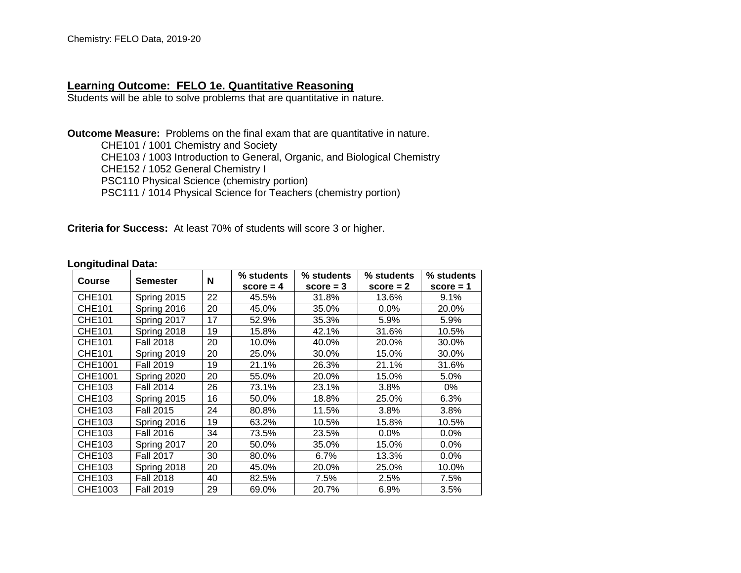## **Learning Outcome: FELO 1e. Quantitative Reasoning**

Students will be able to solve problems that are quantitative in nature.

**Outcome Measure:** Problems on the final exam that are quantitative in nature.

CHE101 / 1001 Chemistry and Society CHE103 / 1003 Introduction to General, Organic, and Biological Chemistry CHE152 / 1052 General Chemistry I PSC110 Physical Science (chemistry portion) PSC111 / 1014 Physical Science for Teachers (chemistry portion)

**Criteria for Success:** At least 70% of students will score 3 or higher.

#### **Longitudinal Data:**

| <b>Course</b> | <b>Semester</b>  | N  | % students<br>$score = 4$ | % students<br>$score = 3$ | % students<br>$score = 2$ | % students<br>$score = 1$ |
|---------------|------------------|----|---------------------------|---------------------------|---------------------------|---------------------------|
| <b>CHE101</b> | Spring 2015      | 22 | 45.5%                     | 31.8%                     | 13.6%                     | 9.1%                      |
| <b>CHE101</b> | Spring 2016      | 20 | 45.0%                     | 35.0%                     | $0.0\%$                   | 20.0%                     |
| CHE101        | Spring 2017      | 17 | 52.9%                     | 35.3%                     | 5.9%                      | 5.9%                      |
| CHE101        | Spring 2018      | 19 | 15.8%                     | 42.1%                     | 31.6%                     | 10.5%                     |
| <b>CHE101</b> | <b>Fall 2018</b> | 20 | 10.0%                     | 40.0%                     | 20.0%                     | 30.0%                     |
| <b>CHE101</b> | Spring 2019      | 20 | 25.0%                     | 30.0%                     | 15.0%                     | 30.0%                     |
| CHE1001       | <b>Fall 2019</b> | 19 | 21.1%                     | 26.3%                     | 21.1%                     | 31.6%                     |
| CHE1001       | Spring 2020      | 20 | 55.0%                     | 20.0%                     | 15.0%                     | 5.0%                      |
| CHE103        | <b>Fall 2014</b> | 26 | 73.1%                     | 23.1%                     | 3.8%                      | 0%                        |
| CHE103        | Spring 2015      | 16 | 50.0%                     | 18.8%                     | 25.0%                     | 6.3%                      |
| CHE103        | <b>Fall 2015</b> | 24 | 80.8%                     | 11.5%                     | 3.8%                      | 3.8%                      |
| CHE103        | Spring 2016      | 19 | 63.2%                     | 10.5%                     | 15.8%                     | 10.5%                     |
| CHE103        | <b>Fall 2016</b> | 34 | 73.5%                     | 23.5%                     | $0.0\%$                   | 0.0%                      |
| CHE103        | Spring 2017      | 20 | 50.0%                     | 35.0%                     | 15.0%                     | $0.0\%$                   |
| CHE103        | <b>Fall 2017</b> | 30 | 80.0%                     | 6.7%                      | 13.3%                     | 0.0%                      |
| CHE103        | Spring 2018      | 20 | 45.0%                     | 20.0%                     | 25.0%                     | 10.0%                     |
| CHE103        | <b>Fall 2018</b> | 40 | 82.5%                     | 7.5%                      | 2.5%                      | 7.5%                      |
| CHE1003       | <b>Fall 2019</b> | 29 | 69.0%                     | 20.7%                     | 6.9%                      | 3.5%                      |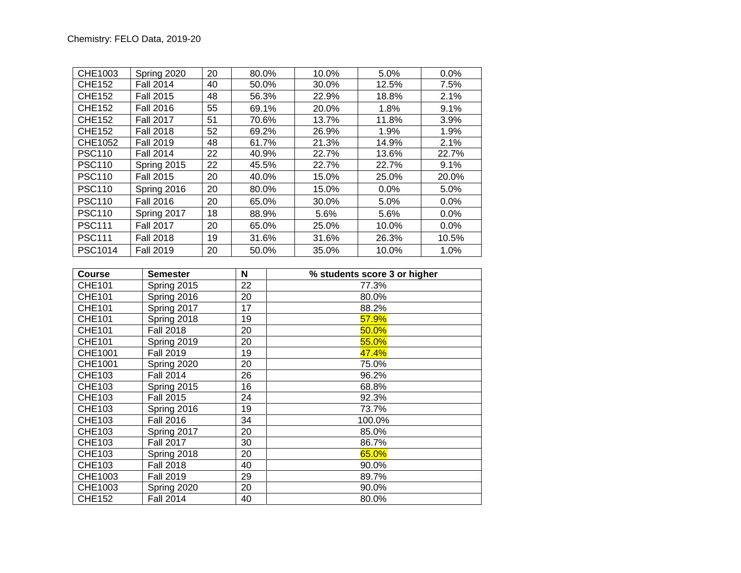| CHE1003       | Spring 2020      | 20 | 80.0% | 10.0% | 5.0%  | 0.0%  |
|---------------|------------------|----|-------|-------|-------|-------|
| <b>CHE152</b> | <b>Fall 2014</b> | 40 | 50.0% | 30.0% | 12.5% | 7.5%  |
| <b>CHE152</b> | <b>Fall 2015</b> | 48 | 56.3% | 22.9% | 18.8% | 2.1%  |
| <b>CHE152</b> | <b>Fall 2016</b> | 55 | 69.1% | 20.0% | 1.8%  | 9.1%  |
| CHE152        | <b>Fall 2017</b> | 51 | 70.6% | 13.7% | 11.8% | 3.9%  |
| <b>CHE152</b> | <b>Fall 2018</b> | 52 | 69.2% | 26.9% | 1.9%  | 1.9%  |
| CHE1052       | <b>Fall 2019</b> | 48 | 61.7% | 21.3% | 14.9% | 2.1%  |
| <b>PSC110</b> | <b>Fall 2014</b> | 22 | 40.9% | 22.7% | 13.6% | 22.7% |
| <b>PSC110</b> | Spring 2015      | 22 | 45.5% | 22.7% | 22.7% | 9.1%  |
| <b>PSC110</b> | <b>Fall 2015</b> | 20 | 40.0% | 15.0% | 25.0% | 20.0% |
| <b>PSC110</b> | Spring 2016      | 20 | 80.0% | 15.0% | 0.0%  | 5.0%  |
| <b>PSC110</b> | <b>Fall 2016</b> | 20 | 65.0% | 30.0% | 5.0%  | 0.0%  |
| <b>PSC110</b> | Spring 2017      | 18 | 88.9% | 5.6%  | 5.6%  | 0.0%  |
| <b>PSC111</b> | <b>Fall 2017</b> | 20 | 65.0% | 25.0% | 10.0% | 0.0%  |
| <b>PSC111</b> | <b>Fall 2018</b> | 19 | 31.6% | 31.6% | 26.3% | 10.5% |
| PSC1014       | <b>Fall 2019</b> | 20 | 50.0% | 35.0% | 10.0% | 1.0%  |

| <b>Course</b> | Semester         | N  | % students score 3 or higher |
|---------------|------------------|----|------------------------------|
| <b>CHE101</b> | Spring 2015      | 22 | 77.3%                        |
| <b>CHE101</b> | Spring 2016      | 20 | 80.0%                        |
| <b>CHE101</b> | Spring 2017      | 17 | 88.2%                        |
| <b>CHE101</b> | Spring 2018      | 19 | 57.9%                        |
| <b>CHE101</b> | <b>Fall 2018</b> | 20 | 50.0%                        |
| <b>CHE101</b> | Spring 2019      | 20 | 55.0%                        |
| CHE1001       | <b>Fall 2019</b> | 19 | 47.4%                        |
| CHE1001       | Spring 2020      | 20 | 75.0%                        |
| <b>CHE103</b> | <b>Fall 2014</b> | 26 | 96.2%                        |
| CHE103        | Spring 2015      | 16 | 68.8%                        |
| CHE103        | <b>Fall 2015</b> | 24 | 92.3%                        |
| CHE103        | Spring 2016      | 19 | 73.7%                        |
| CHE103        | <b>Fall 2016</b> | 34 | 100.0%                       |
| CHE103        | Spring 2017      | 20 | 85.0%                        |
| CHE103        | <b>Fall 2017</b> | 30 | 86.7%                        |
| CHE103        | Spring 2018      | 20 | 65.0%                        |
| CHE103        | <b>Fall 2018</b> | 40 | 90.0%                        |
| CHE1003       | <b>Fall 2019</b> | 29 | 89.7%                        |
| CHE1003       | Spring 2020      | 20 | 90.0%                        |
| <b>CHE152</b> | <b>Fall 2014</b> | 40 | 80.0%                        |